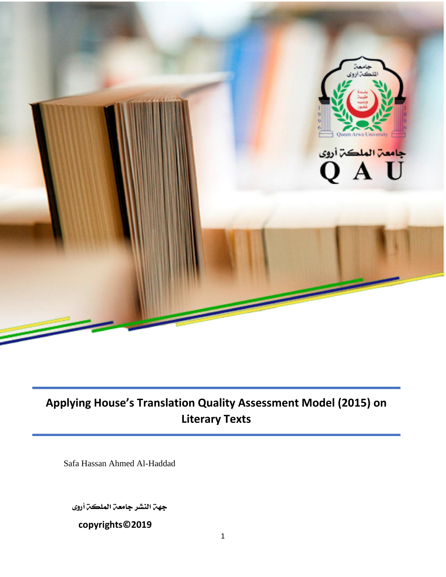

# **Applying House's Translation Quality Assessment Model (2015) on Literary Texts**

Safa Hassan Ahmed Al-Haddad

جهن النشر جامعن الملكن أروى

**copyrights©2019**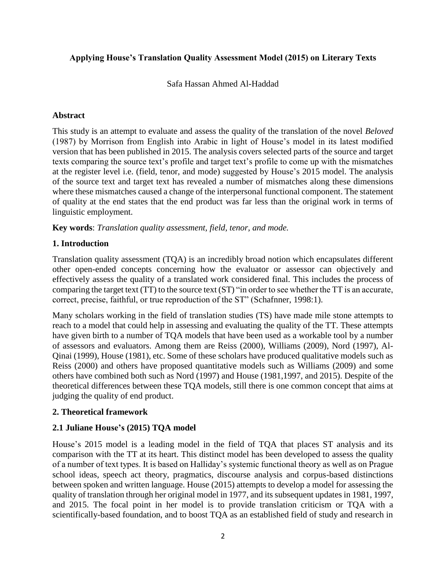# **Applying House's Translation Quality Assessment Model (2015) on Literary Texts**

Safa Hassan Ahmed Al-Haddad

#### **Abstract**

This study is an attempt to evaluate and assess the quality of the translation of the novel *Beloved* (1987) by Morrison from English into Arabic in light of House's model in its latest modified version that has been published in 2015. The analysis covers selected parts of the source and target texts comparing the source text's profile and target text's profile to come up with the mismatches at the register level i.e. (field, tenor, and mode) suggested by House's 2015 model. The analysis of the source text and target text has revealed a number of mismatches along these dimensions where these mismatches caused a change of the interpersonal functional component. The statement of quality at the end states that the end product was far less than the original work in terms of linguistic employment.

**Key words**: *Translation quality assessment, field, tenor, and mode.*

# **1. Introduction**

Translation quality assessment (TQA) is an incredibly broad notion which encapsulates different other open-ended concepts concerning how the evaluator or assessor can objectively and effectively assess the quality of a translated work considered final. This includes the process of comparing the target text (TT) to the source text (ST) "in order to see whether the TT is an accurate, correct, precise, faithful, or true reproduction of the ST" (Schafnner, 1998:1).

Many scholars working in the field of translation studies (TS) have made mile stone attempts to reach to a model that could help in assessing and evaluating the quality of the TT. These attempts have given birth to a number of TQA models that have been used as a workable tool by a number of assessors and evaluators. Among them are Reiss (2000), Williams (2009), Nord (1997), Al-Qinai (1999), House (1981), etc. Some of these scholars have produced qualitative models such as Reiss (2000) and others have proposed quantitative models such as Williams (2009) and some others have combined both such as Nord (1997) and House (1981,1997, and 2015). Despite of the theoretical differences between these TQA models, still there is one common concept that aims at judging the quality of end product.

# **2. Theoretical framework**

# **2.1 Juliane House's (2015) TQA model**

House's 2015 model is a leading model in the field of TQA that places ST analysis and its comparison with the TT at its heart. This distinct model has been developed to assess the quality of a number of text types. It is based on Halliday's systemic functional theory as well as on Prague school ideas, speech act theory, pragmatics, discourse analysis and corpus-based distinctions between spoken and written language. House (2015) attempts to develop a model for assessing the quality of translation through her original model in 1977, and its subsequent updates in 1981, 1997, and 2015. The focal point in her model is to provide translation criticism or TQA with a scientifically-based foundation, and to boost TQA as an established field of study and research in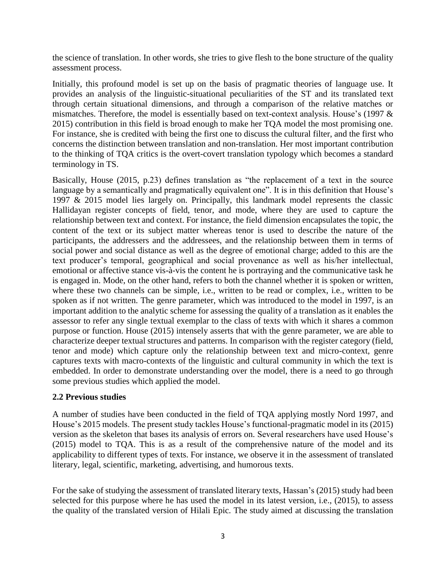the science of translation. In other words, she tries to give flesh to the bone structure of the quality assessment process.

Initially, this profound model is set up on the basis of pragmatic theories of language use. It provides an analysis of the linguistic-situational peculiarities of the ST and its translated text through certain situational dimensions, and through a comparison of the relative matches or mismatches. Therefore, the model is essentially based on text-context analysis. House's (1997 & 2015) contribution in this field is broad enough to make her TQA model the most promising one. For instance, she is credited with being the first one to discuss the cultural filter, and the first who concerns the distinction between translation and non-translation. Her most important contribution to the thinking of TQA critics is the overt-covert translation typology which becomes a standard terminology in TS.

Basically, House (2015, p.23) defines translation as "the replacement of a text in the source language by a semantically and pragmatically equivalent one". It is in this definition that House's 1997 & 2015 model lies largely on. Principally, this landmark model represents the classic Hallidayan register concepts of field, tenor, and mode, where they are used to capture the relationship between text and context. For instance, the field dimension encapsulates the topic, the content of the text or its subject matter whereas tenor is used to describe the nature of the participants, the addressers and the addressees, and the relationship between them in terms of social power and social distance as well as the degree of emotional charge; added to this are the text producer's temporal, geographical and social provenance as well as his/her intellectual, emotional or affective stance vis-à-vis the content he is portraying and the communicative task he is engaged in. Mode, on the other hand, refers to both the channel whether it is spoken or written, where these two channels can be simple, i.e., written to be read or complex, i.e., written to be spoken as if not written. The genre parameter, which was introduced to the model in 1997, is an important addition to the analytic scheme for assessing the quality of a translation as it enables the assessor to refer any single textual exemplar to the class of texts with which it shares a common purpose or function. House (2015) intensely asserts that with the genre parameter, we are able to characterize deeper textual structures and patterns. In comparison with the register category (field, tenor and mode) which capture only the relationship between text and micro-context, genre captures texts with macro-contexts of the linguistic and cultural community in which the text is embedded. In order to demonstrate understanding over the model, there is a need to go through some previous studies which applied the model.

#### **2.2 Previous studies**

A number of studies have been conducted in the field of TQA applying mostly Nord 1997, and House's 2015 models. The present study tackles House's functional-pragmatic model in its (2015) version as the skeleton that bases its analysis of errors on. Several researchers have used House's (2015) model to TQA. This is as a result of the comprehensive nature of the model and its applicability to different types of texts. For instance, we observe it in the assessment of translated literary, legal, scientific, marketing, advertising, and humorous texts.

For the sake of studying the assessment of translated literary texts, Hassan's (2015) study had been selected for this purpose where he has used the model in its latest version, i.e., (2015), to assess the quality of the translated version of Hilali Epic. The study aimed at discussing the translation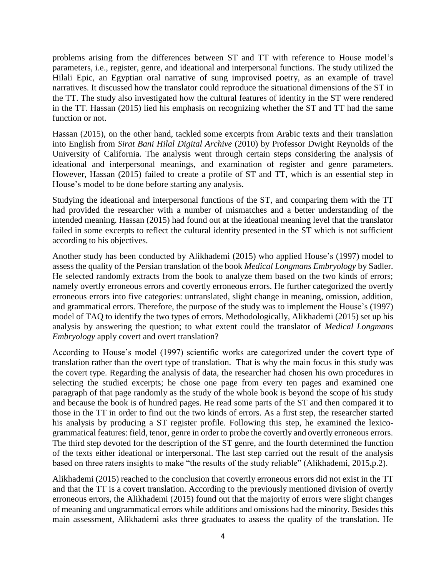problems arising from the differences between ST and TT with reference to House model's parameters, i.e., register, genre, and ideational and interpersonal functions. The study utilized the Hilali Epic, an Egyptian oral narrative of sung improvised poetry, as an example of travel narratives. It discussed how the translator could reproduce the situational dimensions of the ST in the TT. The study also investigated how the cultural features of identity in the ST were rendered in the TT. Hassan (2015) lied his emphasis on recognizing whether the ST and TT had the same function or not.

Hassan (2015), on the other hand, tackled some excerpts from Arabic texts and their translation into English from *Sirat Bani Hilal Digital Archive* (2010) by Professor Dwight Reynolds of the University of California. The analysis went through certain steps considering the analysis of ideational and interpersonal meanings, and examination of register and genre parameters. However, Hassan (2015) failed to create a profile of ST and TT, which is an essential step in House's model to be done before starting any analysis.

Studying the ideational and interpersonal functions of the ST, and comparing them with the TT had provided the researcher with a number of mismatches and a better understanding of the intended meaning. Hassan (2015) had found out at the ideational meaning level that the translator failed in some excerpts to reflect the cultural identity presented in the ST which is not sufficient according to his objectives.

Another study has been conducted by Alikhademi (2015) who applied House's (1997) model to assess the quality of the Persian translation of the book *Medical Longmans Embryology* by Sadler. He selected randomly extracts from the book to analyze them based on the two kinds of errors; namely overtly erroneous errors and covertly erroneous errors. He further categorized the overtly erroneous errors into five categories: untranslated, slight change in meaning, omission, addition, and grammatical errors. Therefore, the purpose of the study was to implement the House's (1997) model of TAQ to identify the two types of errors. Methodologically, Alikhademi (2015) set up his analysis by answering the question; to what extent could the translator of *Medical Longmans Embryology* apply covert and overt translation?

According to House's model (1997) scientific works are categorized under the covert type of translation rather than the overt type of translation. That is why the main focus in this study was the covert type. Regarding the analysis of data, the researcher had chosen his own procedures in selecting the studied excerpts; he chose one page from every ten pages and examined one paragraph of that page randomly as the study of the whole book is beyond the scope of his study and because the book is of hundred pages. He read some parts of the ST and then compared it to those in the TT in order to find out the two kinds of errors. As a first step, the researcher started his analysis by producing a ST register profile. Following this step, he examined the lexicogrammatical features: field, tenor, genre in order to probe the covertly and overtly erroneous errors. The third step devoted for the description of the ST genre, and the fourth determined the function of the texts either ideational or interpersonal. The last step carried out the result of the analysis based on three raters insights to make "the results of the study reliable" (Alikhademi, 2015,p.2).

Alikhademi (2015) reached to the conclusion that covertly erroneous errors did not exist in the TT and that the TT is a covert translation. According to the previously mentioned division of overtly erroneous errors, the Alikhademi (2015) found out that the majority of errors were slight changes of meaning and ungrammatical errors while additions and omissions had the minority. Besides this main assessment, Alikhademi asks three graduates to assess the quality of the translation. He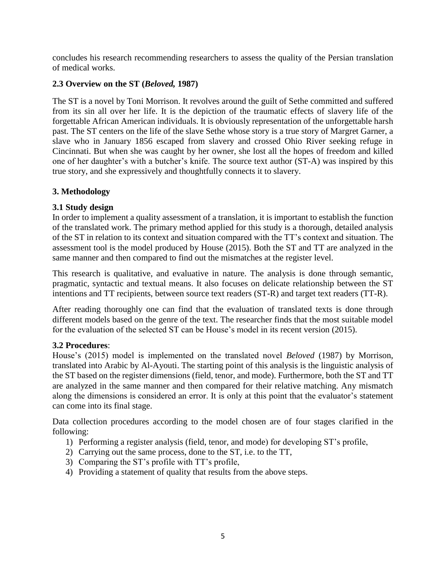concludes his research recommending researchers to assess the quality of the Persian translation of medical works.

# **2.3 Overview on the ST (***Beloved,* **1987)**

The ST is a novel by Toni Morrison. It revolves around the guilt of Sethe committed and suffered from its sin all over her life. It is the depiction of the traumatic effects of slavery life of the forgettable African American individuals. It is obviously representation of the unforgettable harsh past. The ST centers on the life of the slave Sethe whose story is a true story of Margret Garner, a slave who in January 1856 escaped from slavery and crossed Ohio River seeking refuge in Cincinnati. But when she was caught by her owner, she lost all the hopes of freedom and killed one of her daughter's with a butcher's knife. The source text author (ST-A) was inspired by this true story, and she expressively and thoughtfully connects it to slavery.

# **3. Methodology**

# **3.1 Study design**

In order to implement a quality assessment of a translation, it is important to establish the function of the translated work. The primary method applied for this study is a thorough, detailed analysis of the ST in relation to its context and situation compared with the TT's context and situation. The assessment tool is the model produced by House (2015). Both the ST and TT are analyzed in the same manner and then compared to find out the mismatches at the register level.

This research is qualitative, and evaluative in nature. The analysis is done through semantic, pragmatic, syntactic and textual means. It also focuses on delicate relationship between the ST intentions and TT recipients, between source text readers (ST-R) and target text readers (TT-R).

After reading thoroughly one can find that the evaluation of translated texts is done through different models based on the genre of the text. The researcher finds that the most suitable model for the evaluation of the selected ST can be House's model in its recent version (2015).

#### **3.2 Procedures**:

House's (2015) model is implemented on the translated novel *Beloved* (1987) by Morrison, translated into Arabic by Al-Ayouti. The starting point of this analysis is the linguistic analysis of the ST based on the register dimensions (field, tenor, and mode). Furthermore, both the ST and TT are analyzed in the same manner and then compared for their relative matching. Any mismatch along the dimensions is considered an error. It is only at this point that the evaluator's statement can come into its final stage.

Data collection procedures according to the model chosen are of four stages clarified in the following:

- 1) Performing a register analysis (field, tenor, and mode) for developing ST's profile,
- 2) Carrying out the same process, done to the ST, i.e. to the TT,
- 3) Comparing the ST's profile with TT's profile,
- 4) Providing a statement of quality that results from the above steps.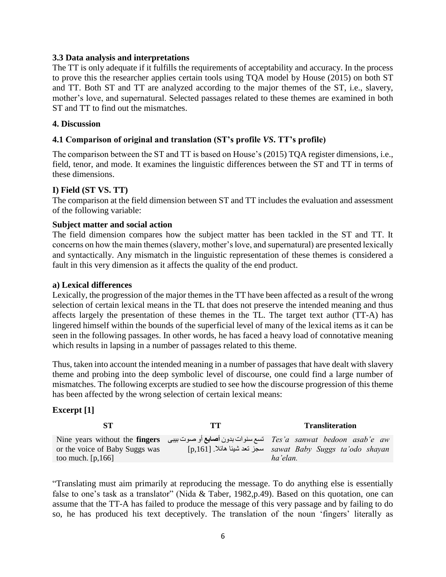#### **3.3 Data analysis and interpretations**

The TT is only adequate if it fulfills the requirements of acceptability and accuracy. In the process to prove this the researcher applies certain tools using TQA model by House (2015) on both ST and TT. Both ST and TT are analyzed according to the major themes of the ST, i.e., slavery, mother's love, and supernatural. Selected passages related to these themes are examined in both ST and TT to find out the mismatches.

#### **4. Discussion**

# **4.1 Comparison of original and translation (ST's profile** *VS***. TT's profile)**

The comparison between the ST and TT is based on House's (2015) TQA register dimensions, i.e., field, tenor, and mode. It examines the linguistic differences between the ST and TT in terms of these dimensions.

#### **I) Field (ST VS. TT)**

The comparison at the field dimension between ST and TT includes the evaluation and assessment of the following variable:

#### **Subject matter and social action**

The field dimension compares how the subject matter has been tackled in the ST and TT. It concerns on how the main themes (slavery, mother's love, and supernatural) are presented lexically and syntactically. Any mismatch in the linguistic representation of these themes is considered a fault in this very dimension as it affects the quality of the end product.

#### **a) Lexical differences**

Lexically, the progression of the major themes in the TT have been affected as a result of the wrong selection of certain lexical means in the TL that does not preserve the intended meaning and thus affects largely the presentation of these themes in the TL. The target text author (TT-A) has lingered himself within the bounds of the superficial level of many of the lexical items as it can be seen in the following passages. In other words, he has faced a heavy load of connotative meaning which results in lapsing in a number of passages related to this theme.

Thus, taken into account the intended meaning in a number of passages that have dealt with slavery theme and probing into the deep symbolic level of discourse, one could find a large number of mismatches. The following excerpts are studied to see how the discourse progression of this theme has been affected by the wrong selection of certain lexical means:

#### **Excerpt [1]**

|                                | тт | <b>Transliteration</b>                                                                        |
|--------------------------------|----|-----------------------------------------------------------------------------------------------|
|                                |    | Tes'a sanwat bedoon asab'e aw تسع سنوات بدون أصابع أو صوت بيبي Nine years without the fingers |
| or the voice of Baby Suggs was |    | [p,161] سجز تعد شيئا هائلا. [p,161] sawat Baby Suggs ta'odo shayan                            |
| too much. $[p, 166]$           |    | ha'elan.                                                                                      |

"Translating must aim primarily at reproducing the message. To do anything else is essentially false to one's task as a translator" (Nida & Taber, 1982, p.49). Based on this quotation, one can assume that the TT-A has failed to produce the message of this very passage and by failing to do so, he has produced his text deceptively. The translation of the noun 'fingers' literally as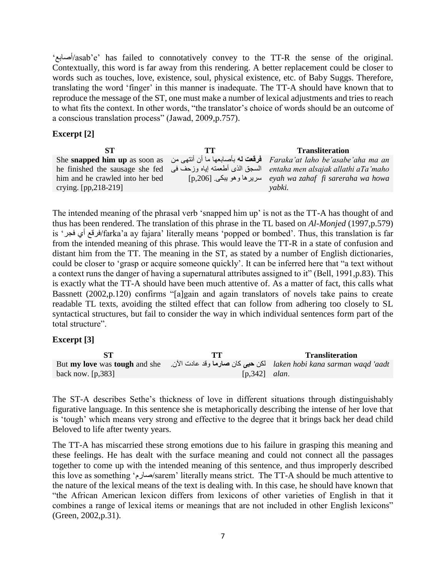'أصابع/asab'e' has failed to connotatively convey to the TT-R the sense of the original. Contextually, this word is far away from this rendering. A better replacement could be closer to words such as touches, love, existence, soul, physical existence, etc. of Baby Suggs. Therefore, translating the word 'finger' in this manner is inadequate. The TT-A should have known that to reproduce the message of the ST, one must make a number of lexical adjustments and tries to reach to what fits the context. In other words, "the translator's choice of words should be an outcome of a conscious translation process" (Jawad, 2009,p.757).

#### **Excerpt [2]**

| SТ                              | TТ | <b>Transliteration</b>                                                                                            |
|---------------------------------|----|-------------------------------------------------------------------------------------------------------------------|
|                                 |    | She snapped him up as soon as فقعت له بأصابعها ما أن أنتهى من She snapped him up as soon as فرقعت لمه بأصابعها ما |
|                                 |    |                                                                                                                   |
| him and he crawled into her bed |    | $[p,206]$ سریرهاوهو بیکی [p,206] سرورهاومو بیکی [p                                                                |
| crying. $[pp, 218-219]$         |    | yabki.                                                                                                            |

The intended meaning of the phrasal verb 'snapped him up' is not as the TT-A has thought of and thus has been rendered. The translation of this phrase in the TL based on *Al-Monjed* (1997,p.579) is 'فجر أي فرقع/farka'a ay fajara' literally means 'popped or bombed'. Thus, this translation is far from the intended meaning of this phrase. This would leave the TT-R in a state of confusion and distant him from the TT. The meaning in the ST, as stated by a number of English dictionaries*,* could be closer to 'grasp or acquire someone quickly'. It can be inferred here that "a text without a context runs the danger of having a supernatural attributes assigned to it" (Bell, 1991,p.83). This is exactly what the TT-A should have been much attentive of. As a matter of fact, this calls what Bassnett (2002,p.120) confirms "[a]gain and again translators of novels take pains to create readable TL texts, avoiding the stilted effect that can follow from adhering too closely to SL syntactical structures, but fail to consider the way in which individual sentences form part of the total structure".

#### **Excerpt [3]**

|                                             | TT              | <b>Transliteration</b>                                                             |
|---------------------------------------------|-----------------|------------------------------------------------------------------------------------|
| But <b>my love</b> was <b>tough</b> and she |                 | laken hobi kana sarman waqd 'aadt    لكن <b>حبى</b> كان <b>صارما</b> وقد عادت الأن |
| back now. $[p, 383]$                        | $[p,342]$ alan. |                                                                                    |

The ST-A describes Sethe's thickness of love in different situations through distinguishably figurative language. In this sentence she is metaphorically describing the intense of her love that is 'tough' which means very strong and effective to the degree that it brings back her dead child Beloved to life after twenty years.

The TT-A has miscarried these strong emotions due to his failure in grasping this meaning and these feelings. He has dealt with the surface meaning and could not connect all the passages together to come up with the intended meaning of this sentence, and thus improperly described this love as something 'صارم/sarem' literally means strict. The TT-A should be much attentive to the nature of the lexical means of the text is dealing with. In this case, he should have known that "the African American lexicon differs from lexicons of other varieties of English in that it combines a range of lexical items or meanings that are not included in other English lexicons" (Green, 2002,p.31).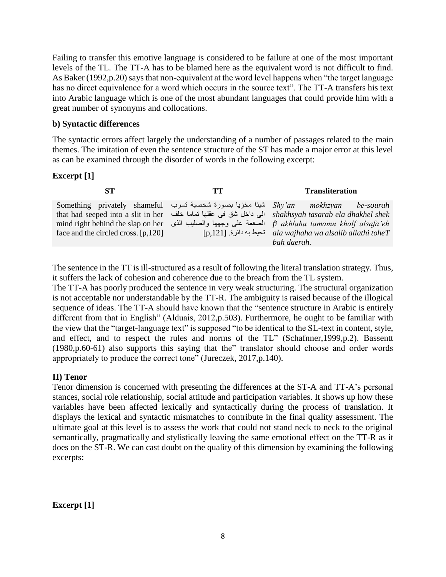Failing to transfer this emotive language is considered to be failure at one of the most important levels of the TL. The TT-A has to be blamed here as the equivalent word is not difficult to find. As Baker (1992,p.20) says that non-equivalent at the word level happens when "the target language has no direct equivalence for a word which occurs in the source text". The TT-A transfers his text into Arabic language which is one of the most abundant languages that could provide him with a great number of synonyms and collocations.

## **b) Syntactic differences**

The syntactic errors affect largely the understanding of a number of passages related to the main themes. The imitation of even the sentence structure of the ST has made a major error at this level as can be examined through the disorder of words in the following excerpt:

# **Excerpt [1]**

| SТ                                                                                    | TТ | <b>Transliteration</b>                                                                                                                                                                |
|---------------------------------------------------------------------------------------|----|---------------------------------------------------------------------------------------------------------------------------------------------------------------------------------------|
| Something privately shameful تسبا مخزيا بصورة شخصية تسرب Something privately shameful |    | mokhzyan be-sourah<br>that had seeped into a slit in her     الى داخل شق في عقلها تماما خلف                                shakhsyah tasarab ela dhakhel shek                         |
| face and the circled cross. $[p, 120]$                                                |    | mind right behind the slap on her الصفعة على وجهها والصليب الذي mind right behind the slap on her<br>$[p, 121]$ تحيط به دائر ة ala wajhaha wa alsalib allathi tohe $T$<br>bah daerah. |

The sentence in the TT is ill-structured as a result of following the literal translation strategy. Thus, it suffers the lack of cohesion and coherence due to the breach from the TL system.

The TT-A has poorly produced the sentence in very weak structuring. The structural organization is not acceptable nor understandable by the TT-R. The ambiguity is raised because of the illogical sequence of ideas. The TT-A should have known that the "sentence structure in Arabic is entirely different from that in English" (Alduais, 2012, p.503). Furthermore, he ought to be familiar with the view that the "target-language text" is supposed "to be identical to the SL-text in content, style, and effect, and to respect the rules and norms of the TL" (Schafnner,1999,p.2). Bassentt (1980,p.60-61) also supports this saying that the" translator should choose and order words appropriately to produce the correct tone" (Jureczek, 2017,p.140).

# **II) Tenor**

Tenor dimension is concerned with presenting the differences at the ST-A and TT-A's personal stances, social role relationship, social attitude and participation variables. It shows up how these variables have been affected lexically and syntactically during the process of translation. It displays the lexical and syntactic mismatches to contribute in the final quality assessment. The ultimate goal at this level is to assess the work that could not stand neck to neck to the original semantically, pragmatically and stylistically leaving the same emotional effect on the TT-R as it does on the ST-R. We can cast doubt on the quality of this dimension by examining the following excerpts:

**Excerpt [1]**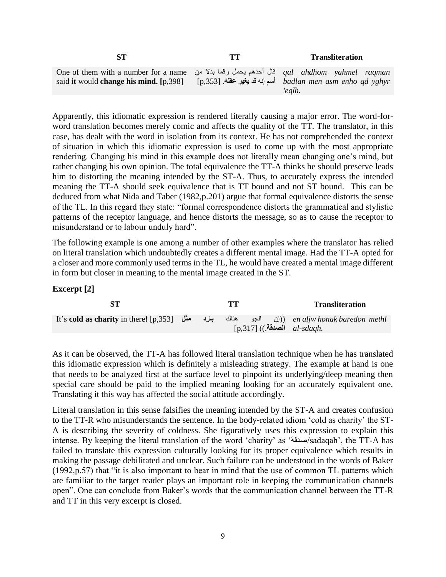|                                                                                                                                                                    | <b>Transliteration</b>                                                        |
|--------------------------------------------------------------------------------------------------------------------------------------------------------------------|-------------------------------------------------------------------------------|
| One of them with a number for a name    قال أحدهم بحمل رقما بدلا من <i>qal   ahdhom    yahmel   raqman</i><br>said <b>it</b> would <b>change his mind.</b> [p,398] | [p,353] أسم إنه قد <b>يغير عقله</b> . [badlan men asm enho qd yghyr<br>'ealh. |

Apparently, this idiomatic expression is rendered literally causing a major error. The word-forword translation becomes merely comic and affects the quality of the TT. The translator, in this case, has dealt with the word in isolation from its context. He has not comprehended the context of situation in which this idiomatic expression is used to come up with the most appropriate rendering. Changing his mind in this example does not literally mean changing one's mind, but rather changing his own opinion. The total equivalence the TT-A thinks he should preserve leads him to distorting the meaning intended by the ST-A. Thus, to accurately express the intended meaning the TT-A should seek equivalence that is TT bound and not ST bound. This can be deduced from what Nida and Taber (1982,p.201) argue that formal equivalence distorts the sense of the TL. In this regard they state: "formal correspondence distorts the grammatical and stylistic patterns of the receptor language, and hence distorts the message, so as to cause the receptor to misunderstand or to labour unduly hard".

The following example is one among a number of other examples where the translator has relied on literal translation which undoubtedly creates a different mental image. Had the TT-A opted for a closer and more commonly used terms in the TL, he would have created a mental image different in form but closer in meaning to the mental image created in the ST.

#### **Excerpt [2]**

|                                                                                                      |  | TТ |  | <b>Transliteration</b>           |
|------------------------------------------------------------------------------------------------------|--|----|--|----------------------------------|
| It's cold as charity in there! [p,353] الجو هناك بارد مثل (p,353] (lt's cold as charity in there! [p |  |    |  | $[p,317]$ (الصدقة)) $al$ -sdagh. |

As it can be observed, the TT-A has followed literal translation technique when he has translated this idiomatic expression which is definitely a misleading strategy. The example at hand is one that needs to be analyzed first at the surface level to pinpoint its underlying/deep meaning then special care should be paid to the implied meaning looking for an accurately equivalent one. Translating it this way has affected the social attitude accordingly.

Literal translation in this sense falsifies the meaning intended by the ST-A and creates confusion to the TT-R who misunderstands the sentence. In the body-related idiom 'cold as charity' the ST-A is describing the severity of coldness. She figuratively uses this expression to explain this intense. By keeping the literal translation of the word 'charity' as 'صدقة/sadaqah', the TT-A has failed to translate this expression culturally looking for its proper equivalence which results in making the passage debilitated and unclear. Such failure can be understood in the words of Baker (1992,p.57) that "it is also important to bear in mind that the use of common TL patterns which are familiar to the target reader plays an important role in keeping the communication channels open". One can conclude from Baker's words that the communication channel between the TT-R and TT in this very excerpt is closed.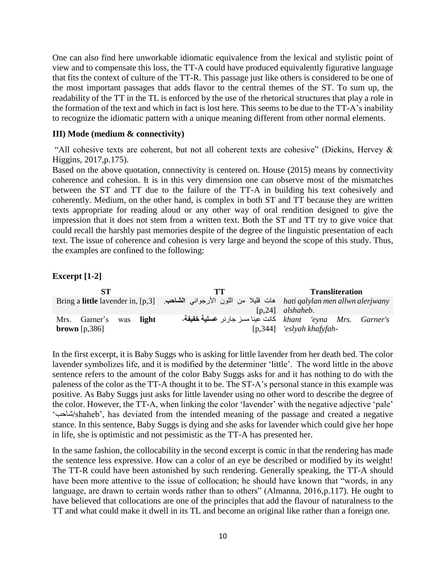One can also find here unworkable idiomatic equivalence from the lexical and stylistic point of view and to compensate this loss, the TT-A could have produced equivalently figurative language that fits the context of culture of the TT-R. This passage just like others is considered to be one of the most important passages that adds flavor to the central themes of the ST. To sum up, the readability of the TT in the TL is enforced by the use of the rhetorical structures that play a role in the formation of the text and which in fact is lost here. This seems to be due to the TT-A's inability to recognize the idiomatic pattern with a unique meaning different from other normal elements.

## **III) Mode (medium & connectivity)**

"All cohesive texts are coherent, but not all coherent texts are cohesive" (Dickins, Hervey  $\&$ Higgins, 2017,p.175).

Based on the above quotation, connectivity is centered on. House (2015) means by connectivity coherence and cohesion. It is in this very dimension one can observe most of the mismatches between the ST and TT due to the failure of the TT-A in building his text cohesively and coherently. Medium, on the other hand, is complex in both ST and TT because they are written texts appropriate for reading aloud or any other way of oral rendition designed to give the impression that it does not stem from a written text. Both the ST and TT try to give voice that could recall the harshly past memories despite of the degree of the linguistic presentation of each text. The issue of coherence and cohesion is very large and beyond the scope of this study. Thus, the examples are confined to the following:

# **Excerpt [1-2]**

| SТ                                                 | TТ                                                                                                             | <b>Transliteration</b>                                                                            |
|----------------------------------------------------|----------------------------------------------------------------------------------------------------------------|---------------------------------------------------------------------------------------------------|
|                                                    | Bring a little lavender in, [p,3] هات فليلا من اللون الأرجواني الشاهب. [p,3] Bring a little lavender in, [p,3] | $[p,24]$ alshaheb.                                                                                |
| Mrs. Garner's was light<br><b>brown</b> $[p, 386]$ |                                                                                                                | khant 'eyna Mrs. Garner's كانت عينا مسز جارنر <b>عسلية خفيفة</b> -<br>$[p,344]$ 'eslyah khafyfah- |

In the first excerpt, it is Baby Suggs who is asking for little lavender from her death bed. The color lavender symbolizes life, and it is modified by the determiner 'little'. The word little in the above sentence refers to the amount of the color Baby Suggs asks for and it has nothing to do with the paleness of the color as the TT-A thought it to be. The ST-A's personal stance in this example was positive. As Baby Suggs just asks for little lavender using no other word to describe the degree of the color. However, the TT-A, when linking the color 'lavender' with the negative adjective 'pale' 'شاحب/shaheb', has deviated from the intended meaning of the passage and created a negative stance. In this sentence, Baby Suggs is dying and she asks for lavender which could give her hope in life, she is optimistic and not pessimistic as the TT-A has presented her.

In the same fashion, the collocability in the second excerpt is comic in that the rendering has made the sentence less expressive. How can a color of an eye be described or modified by its weight! The TT-R could have been astonished by such rendering. Generally speaking, the TT-A should have been more attentive to the issue of collocation; he should have known that "words, in any language, are drawn to certain words rather than to others" (Almanna, 2016, p.117). He ought to have believed that collocations are one of the principles that add the flavour of naturalness to the TT and what could make it dwell in its TL and become an original like rather than a foreign one.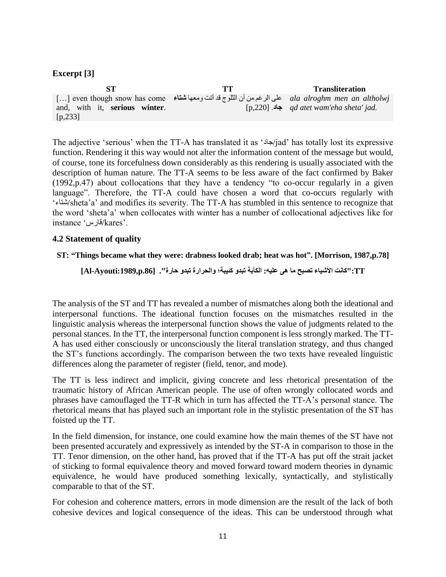# **Excerpt [3]**

**ST TT Transliteration** […] even though snow has come على الرغم من أن الثلوج قد أتت ومعها **شتاء** *ala alroghm men an altholwj*  and, with it, **serious winter**. [p,233] **جاد**. [,220p[ *qd atet wam'eha sheta' jad.*

The adjective 'serious' when the TT-A has translated it as 'جاد/jad' has totally lost its expressive function. Rendering it this way would not alter the information content of the message but would, of course, tone its forcefulness down considerably as this rendering is usually associated with the description of human nature. The TT-A seems to be less aware of the fact confirmed by Baker (1992,p.47) about collocations that they have a tendency "to co-occur regularly in a given language". Therefore, the TT-A could have chosen a word that co-occurs regularly with 'شتاء/sheta'a' and modifies its severity. The TT-A has stumbled in this sentence to recognize that the word 'sheta'a' when collocates with winter has a number of collocational adjectives like for instance 'قارس/kares'.

# **4.2 Statement of quality**

#### **ST: "Things became what they were: drabness looked drab; heat was hot". [Morrison, 1987,p.78]**

**TT:"كانت األشياء تصبح ما هى عليه: الكآبة تبدو كئيبة؛ والحرارة تبدو حارة". [.86p:1989,Ayouti-Al[**

The analysis of the ST and TT has revealed a number of mismatches along both the ideational and interpersonal functions. The ideational function focuses on the mismatches resulted in the linguistic analysis whereas the interpersonal function shows the value of judgments related to the personal stances. In the TT, the interpersonal function component is less strongly marked. The TT-A has used either consciously or unconsciously the literal translation strategy, and thus changed the ST's functions accordingly. The comparison between the two texts have revealed linguistic differences along the parameter of register (field, tenor, and mode).

The TT is less indirect and implicit, giving concrete and less rhetorical presentation of the traumatic history of African American people. The use of often wrongly collocated words and phrases have camouflaged the TT-R which in turn has affected the TT-A's personal stance. The rhetorical means that has played such an important role in the stylistic presentation of the ST has foisted up the TT.

In the field dimension, for instance, one could examine how the main themes of the ST have not been presented accurately and expressively as intended by the ST-A in comparison to those in the TT. Tenor dimension, on the other hand, has proved that if the TT-A has put off the strait jacket of sticking to formal equivalence theory and moved forward toward modern theories in dynamic equivalence, he would have produced something lexically, syntactically, and stylistically comparable to that of the ST.

For cohesion and coherence matters, errors in mode dimension are the result of the lack of both cohesive devices and logical consequence of the ideas. This can be understood through what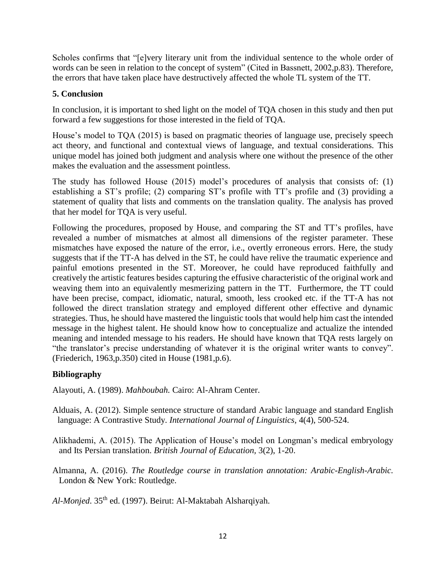Scholes confirms that "[e]very literary unit from the individual sentence to the whole order of words can be seen in relation to the concept of system" (Cited in Bassnett, 2002,p.83). Therefore, the errors that have taken place have destructively affected the whole TL system of the TT.

# **5. Conclusion**

In conclusion, it is important to shed light on the model of TQA chosen in this study and then put forward a few suggestions for those interested in the field of TQA.

House's model to TQA (2015) is based on pragmatic theories of language use, precisely speech act theory, and functional and contextual views of language, and textual considerations. This unique model has joined both judgment and analysis where one without the presence of the other makes the evaluation and the assessment pointless.

The study has followed House (2015) model's procedures of analysis that consists of: (1) establishing a ST's profile; (2) comparing ST's profile with TT's profile and (3) providing a statement of quality that lists and comments on the translation quality. The analysis has proved that her model for TQA is very useful.

Following the procedures, proposed by House, and comparing the ST and TT's profiles, have revealed a number of mismatches at almost all dimensions of the register parameter. These mismatches have exposed the nature of the error, i.e., overtly erroneous errors. Here, the study suggests that if the TT-A has delved in the ST, he could have relive the traumatic experience and painful emotions presented in the ST. Moreover, he could have reproduced faithfully and creatively the artistic features besides capturing the effusive characteristic of the original work and weaving them into an equivalently mesmerizing pattern in the TT. Furthermore, the TT could have been precise, compact, idiomatic, natural, smooth, less crooked etc. if the TT-A has not followed the direct translation strategy and employed different other effective and dynamic strategies. Thus, he should have mastered the linguistic tools that would help him cast the intended message in the highest talent. He should know how to conceptualize and actualize the intended meaning and intended message to his readers. He should have known that TQA rests largely on "the translator's precise understanding of whatever it is the original writer wants to convey". (Friederich, 1963,p.350) cited in House (1981,p.6).

# **Bibliography**

Alayouti, A. (1989). *Mahboubah.* Cairo: Al-Ahram Center.

- Alduais, A. (2012). Simple sentence structure of standard Arabic language and standard English language: A Contrastive Study. *International Journal of Linguistics,* 4(4), 500-524.
- Alikhademi, A. (2015). The Application of House's model on Longman's medical embryology and Its Persian translation. *British Journal of Education,* 3(2), 1-20.
- Almanna, A. (2016). *The Routledge course in translation annotation: Arabic-English-Arabic.* London & New York: Routledge.

*Al-Monjed*. 35th ed. (1997). Beirut: Al-Maktabah Alsharqiyah.